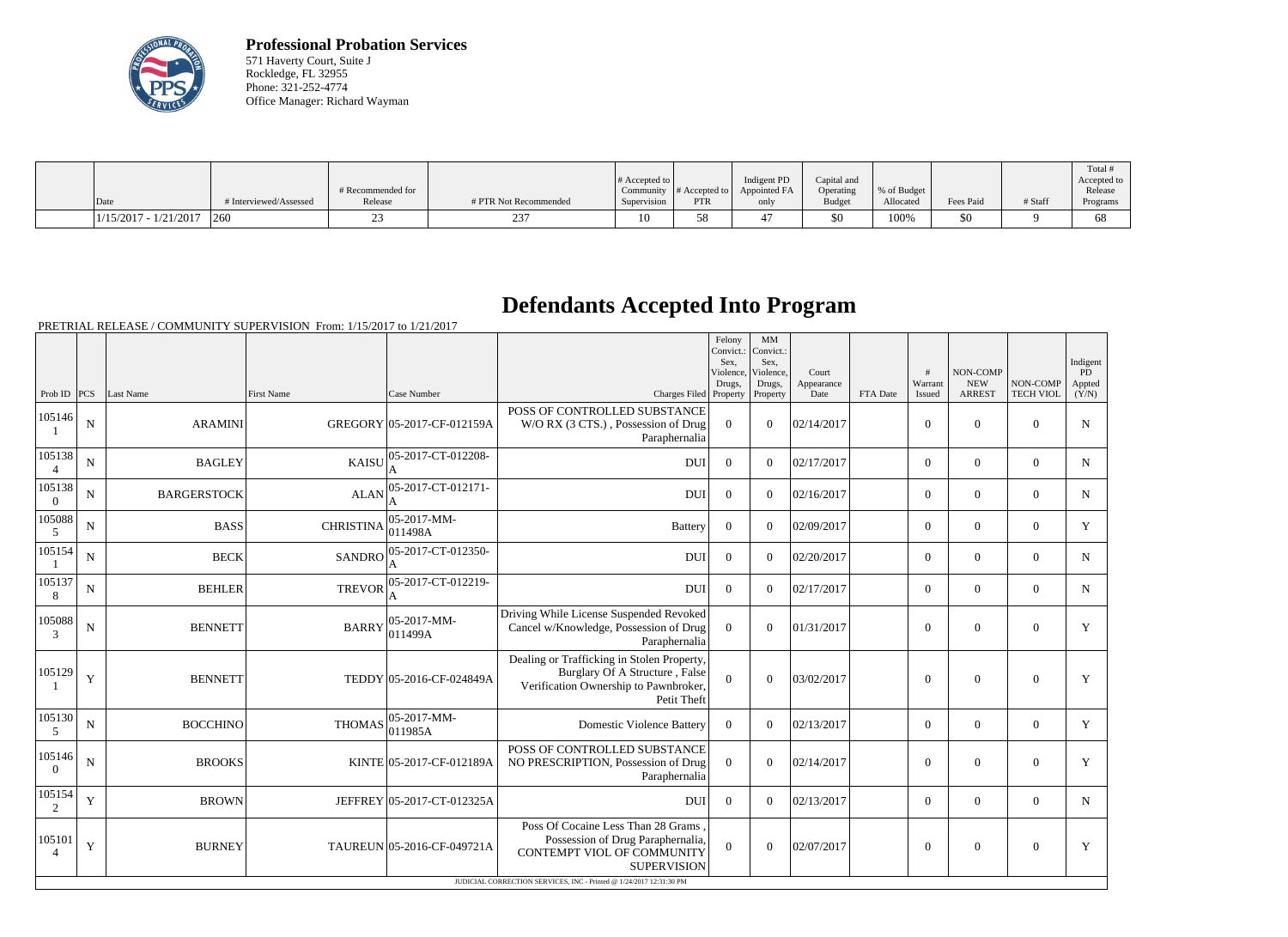

**Professional Probation Services** 571 Haverty Court, Suite J Rockledge, FL 32955 Phone: 321-252-4774 Office Manager: Richard Wayman

| Date                    | # Interviewed/Assessed | # Recommended for<br>Release | # PTR Not Recommended | $\#$ Accepted to<br>Supervision | $\sim$ Community # Accepted to $\sim$<br><b>PTR</b> | Indigent PD<br>Appointed FA<br>only | Capital and<br>Operating<br>Budget | % of Budget<br>Allocated | Fees Paid | # Staff | Total<br>Accepted to<br>Release<br>Programs |
|-------------------------|------------------------|------------------------------|-----------------------|---------------------------------|-----------------------------------------------------|-------------------------------------|------------------------------------|--------------------------|-----------|---------|---------------------------------------------|
|                         |                        |                              |                       |                                 |                                                     |                                     |                                    |                          |           |         |                                             |
| $1/15/2017 - 1/21/2017$ | 1260                   |                              |                       | 10                              |                                                     |                                     | \$0                                | 100%                     | \$0       |         | 68                                          |

## **Defendants Accepted Into Program**

|                          |             |                    |                   |                                |                                                                                                                                      | Felony<br>Convict.:<br>Sex.<br>Violence,<br>Drugs, | MM<br>Convict.:<br>Sex,<br>Violence.<br>Drugs, | Court<br>Appearance |          | #<br>Warrant   | NON-COMP<br><b>NEW</b> | NON-COMP         | Indigent<br><b>PD</b><br>Appted |
|--------------------------|-------------|--------------------|-------------------|--------------------------------|--------------------------------------------------------------------------------------------------------------------------------------|----------------------------------------------------|------------------------------------------------|---------------------|----------|----------------|------------------------|------------------|---------------------------------|
| Prob ID $ PCS $          |             | Last Name          | <b>First Name</b> | Case Number                    | Charges Filed Property   Property<br>POSS OF CONTROLLED SUBSTANCE                                                                    |                                                    |                                                | Date                | FTA Date | Issued         | <b>ARREST</b>          | <b>TECH VIOL</b> | (Y/N)                           |
| 105146                   | ${\bf N}$   | <b>ARAMINI</b>     |                   | GREGORY 05-2017-CF-012159A     | W/O RX (3 CTS.), Possession of Drug<br>Paraphernalia                                                                                 | $\overline{0}$                                     | $\overline{0}$                                 | 02/14/2017          |          | $\overline{0}$ | $\overline{0}$         | $\overline{0}$   | ${\bf N}$                       |
| 105138<br>$\overline{4}$ | ${\bf N}$   | <b>BAGLEY</b>      | <b>KAISU</b>      | 05-2017-CT-012208-<br>A        | <b>DUI</b>                                                                                                                           | $\theta$                                           | $\theta$                                       | 02/17/2017          |          | $\overline{0}$ | $\overline{0}$         | $\overline{0}$   | $\mathbf N$                     |
| 105138<br>$\Omega$       | $\mathbf N$ | <b>BARGERSTOCK</b> |                   | ALAN 05-2017-CT-012171-        | <b>DUI</b>                                                                                                                           | $\theta$                                           | $\theta$                                       | 02/16/2017          |          | $\overline{0}$ | $\mathbf{0}$           | $\overline{0}$   | $\mathbf N$                     |
| 105088<br>5              | ${\bf N}$   | <b>BASS</b>        | <b>CHRISTINA</b>  | $ 05-2017-MM-$<br>011498A      | <b>Battery</b>                                                                                                                       | $\Omega$                                           | $\theta$                                       | 02/09/2017          |          | $\overline{0}$ | $\overline{0}$         | $\overline{0}$   | Y                               |
| 105154                   | ${\bf N}$   | <b>BECK</b>        | <b>SANDRO</b>     | 05-2017-CT-012350-             | <b>DUI</b>                                                                                                                           | $\overline{0}$                                     | $\overline{0}$                                 | 02/20/2017          |          | $\overline{0}$ | $\overline{0}$         | $\overline{0}$   | N                               |
| 105137<br>8              | ${\bf N}$   | <b>BEHLER</b>      | <b>TREVOR</b>     | 05-2017-CT-012219-             | <b>DUI</b>                                                                                                                           | $\Omega$                                           | $\theta$                                       | 02/17/2017          |          | $\overline{0}$ | $\overline{0}$         | $\theta$         | $\mathbf N$                     |
| 105088<br>$\mathcal{R}$  | ${\bf N}$   | <b>BENNETT</b>     | <b>BARRY</b>      | 05-2017-MM-<br> 011499A        | Driving While License Suspended Revoked<br>Cancel w/Knowledge, Possession of Drug<br>Paraphernalia                                   | $\theta$                                           | $\overline{0}$                                 | 01/31/2017          |          | $\overline{0}$ | $\boldsymbol{0}$       | $\overline{0}$   | Y                               |
| 105129                   | $\mathbf Y$ | <b>BENNETT</b>     |                   | TEDDY 05-2016-CF-024849A       | Dealing or Trafficking in Stolen Property,<br>Burglary Of A Structure, False<br>Verification Ownership to Pawnbroker,<br>Petit Theft | $\mathbf{0}$                                       | $\overline{0}$                                 | 03/02/2017          |          | $\overline{0}$ | $\boldsymbol{0}$       | $\overline{0}$   | Y                               |
| 105130<br>5              | ${\bf N}$   | <b>BOCCHINO</b>    | <b>THOMAS</b>     | $ 05 - 2017 - MM -$<br>011985A | <b>Domestic Violence Battery</b>                                                                                                     | $\theta$                                           | $\overline{0}$                                 | 02/13/2017          |          | $\overline{0}$ | $\overline{0}$         | $\overline{0}$   | Y                               |
| 105146<br>$\Omega$       | $\mathbf N$ | <b>BROOKS</b>      |                   | KINTE 05-2017-CF-012189A       | POSS OF CONTROLLED SUBSTANCE<br>NO PRESCRIPTION, Possession of Drug<br>Paraphernalia                                                 | $\overline{0}$                                     | $\overline{0}$                                 | 02/14/2017          |          | $\overline{0}$ | $\boldsymbol{0}$       | $\overline{0}$   | Y                               |
| 105154<br>2              | $\mathbf Y$ | <b>BROWN</b>       |                   | JEFFREY 05-2017-CT-012325A     | <b>DUI</b>                                                                                                                           | $\overline{0}$                                     | $\theta$                                       | 02/13/2017          |          | $\overline{0}$ | $\overline{0}$         | $\overline{0}$   | $\mathbf N$                     |
| 105101<br>$\overline{4}$ | $\mathbf Y$ | <b>BURNEY</b>      |                   | TAUREUN 05-2016-CF-049721A     | Poss Of Cocaine Less Than 28 Grams.<br>Possession of Drug Paraphernalia,<br>CONTEMPT VIOL OF COMMUNITY<br><b>SUPERVISION</b>         | $\Omega$                                           | $\overline{0}$                                 | 02/07/2017          |          | $\overline{0}$ | $\boldsymbol{0}$       | $\overline{0}$   | Y                               |
|                          |             |                    |                   |                                | JUDICIAL CORRECTION SERVICES, INC - Printed @ 1/24/2017 12:31:30 PM                                                                  |                                                    |                                                |                     |          |                |                        |                  |                                 |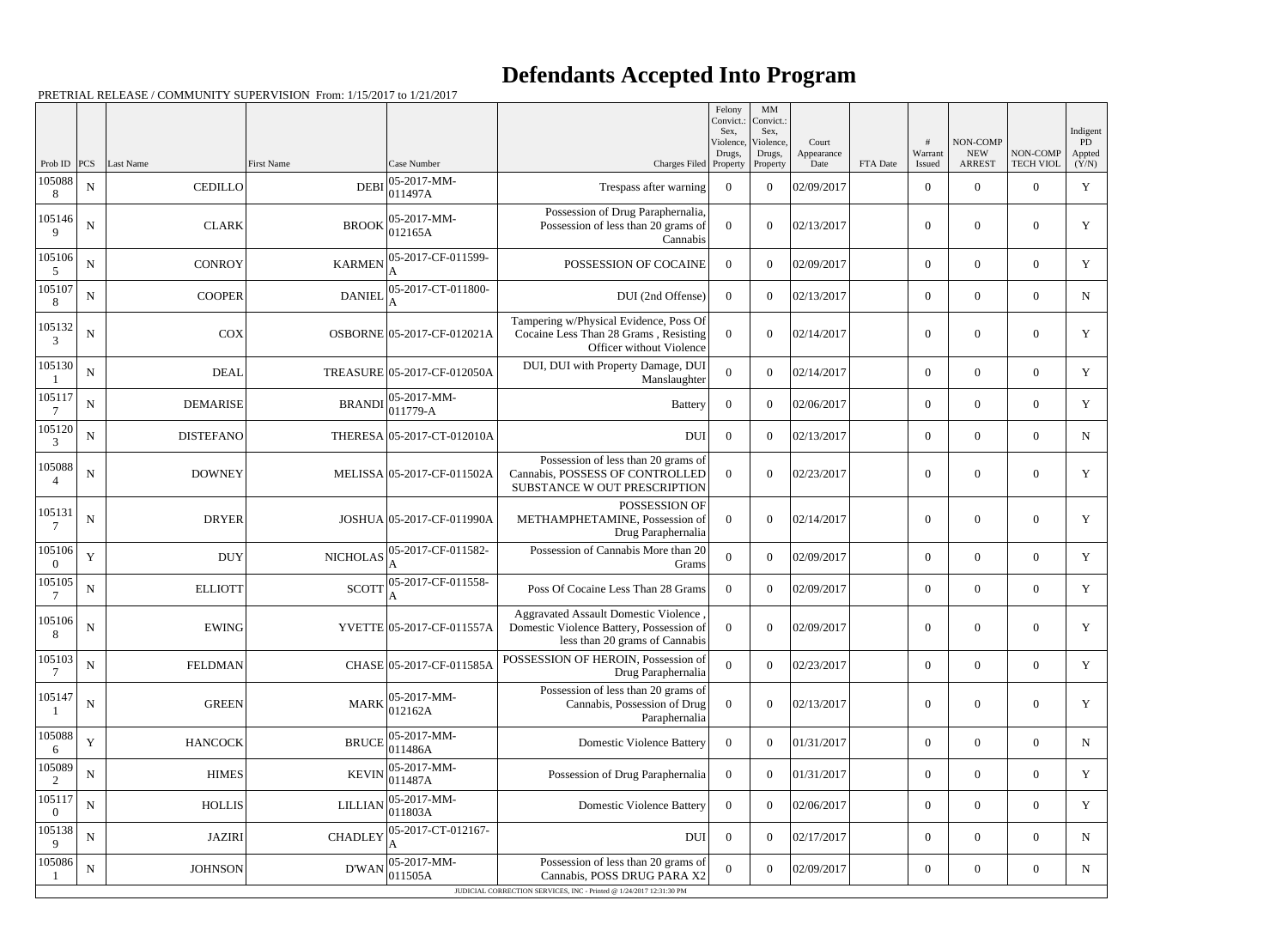## **Defendants Accepted Into Program**

|                          |             |                  |                   |                                          |                                                                                                                           | Felony<br>Convict.:<br>Sex. | $\mathbf{M}\mathbf{M}$<br>Convict.:<br>Sex, |                             |          |                        |                                         |                              | Indigent                     |
|--------------------------|-------------|------------------|-------------------|------------------------------------------|---------------------------------------------------------------------------------------------------------------------------|-----------------------------|---------------------------------------------|-----------------------------|----------|------------------------|-----------------------------------------|------------------------------|------------------------------|
| Prob ID                  | PCS         | Last Name        | <b>First Name</b> | Case Number                              | Charges Filed Property                                                                                                    | Violence,<br>Drugs,         | Violence,<br>Drugs,<br>Property             | Court<br>Appearance<br>Date | FTA Date | #<br>Warrant<br>Issued | NON-COMP<br><b>NEW</b><br><b>ARREST</b> | NON-COMP<br><b>TECH VIOL</b> | <b>PD</b><br>Appted<br>(Y/N) |
| 105088<br>8              | ${\bf N}$   | <b>CEDILLO</b>   | <b>DEBI</b>       | 05-2017-MM-<br>011497A                   | Trespass after warning                                                                                                    | $\overline{0}$              | $\theta$                                    | 02/09/2017                  |          | $\overline{0}$         | $\overline{0}$                          | $\overline{0}$               | Y                            |
| 105146<br>$\mathbf Q$    | ${\bf N}$   | <b>CLARK</b>     | <b>BROOK</b>      | $ 05-2017-MM-$<br>012165A                | Possession of Drug Paraphernalia,<br>Possession of less than 20 grams of<br>Cannabis                                      | $\overline{0}$              | $\theta$                                    | 02/13/2017                  |          | $\overline{0}$         | $\overline{0}$                          | $\overline{0}$               | Y                            |
| 105106<br>5              | $\mathbf N$ | <b>CONROY</b>    | <b>KARMEN</b>     | 05-2017-CF-011599-<br>A                  | POSSESSION OF COCAINE                                                                                                     | $\overline{0}$              | $\theta$                                    | 02/09/2017                  |          | $\overline{0}$         | $\overline{0}$                          | $\overline{0}$               | $\mathbf Y$                  |
| 105107<br>8              | ${\bf N}$   | <b>COOPER</b>    | <b>DANIEL</b>     | 05-2017-CT-011800-                       | DUI (2nd Offense)                                                                                                         | $\overline{0}$              | $\theta$                                    | 02/13/2017                  |          | $\overline{0}$         | $\overline{0}$                          | $\overline{0}$               | N                            |
| 105132<br>3              | ${\bf N}$   | <b>COX</b>       |                   | OSBORNE 05-2017-CF-012021A               | Tampering w/Physical Evidence, Poss Of<br>Cocaine Less Than 28 Grams, Resisting<br>Officer without Violence               | $\theta$                    | $\theta$                                    | 02/14/2017                  |          | $\boldsymbol{0}$       | $\overline{0}$                          | $\overline{0}$               | Y                            |
| 105130                   | ${\bf N}$   | <b>DEAL</b>      |                   | TREASURE 05-2017-CF-012050A              | DUI, DUI with Property Damage, DUI<br>Manslaughter                                                                        | $\overline{0}$              | $\theta$                                    | 02/14/2017                  |          | $\boldsymbol{0}$       | $\overline{0}$                          | $\overline{0}$               | Y                            |
| 105117                   | ${\bf N}$   | <b>DEMARISE</b>  |                   | 05-2017-MM-<br>$BRANDI$ $\Big  011779-A$ | Battery                                                                                                                   | $\overline{0}$              | $\theta$                                    | 02/06/2017                  |          | $\boldsymbol{0}$       | $\overline{0}$                          | $\overline{0}$               | $\mathbf Y$                  |
| 105120<br>3              | ${\bf N}$   | <b>DISTEFANO</b> |                   | THERESA 05-2017-CT-012010A               | <b>DUI</b>                                                                                                                | $\overline{0}$              | $\theta$                                    | 02/13/2017                  |          | $\overline{0}$         | $\overline{0}$                          | $\overline{0}$               | $\mathbf N$                  |
| 105088<br>4              | $\mathbf N$ | <b>DOWNEY</b>    |                   | MELISSA 05-2017-CF-011502A               | Possession of less than 20 grams of<br>Cannabis, POSSESS OF CONTROLLED<br>SUBSTANCE W OUT PRESCRIPTION                    | $\theta$                    | $\theta$                                    | 02/23/2017                  |          | $\overline{0}$         | $\overline{0}$                          | $\overline{0}$               | Y                            |
| 105131                   | $\mathbf N$ | <b>DRYER</b>     |                   | JOSHUA 05-2017-CF-011990A                | POSSESSION OF<br>METHAMPHETAMINE, Possession of<br>Drug Paraphernalia                                                     | $\theta$                    | $\theta$                                    | 02/14/2017                  |          | $\overline{0}$         | $\boldsymbol{0}$                        | $\overline{0}$               | Y                            |
| 105106                   | Y           | <b>DUY</b>       | <b>NICHOLAS</b>   | 05-2017-CF-011582-<br>A                  | Possession of Cannabis More than 20<br>Grams                                                                              | $\mathbf{0}$                | $\theta$                                    | 02/09/2017                  |          | $\boldsymbol{0}$       | $\overline{0}$                          | $\overline{0}$               | Y                            |
| 105105                   | ${\bf N}$   | <b>ELLIOTT</b>   | <b>SCOTT</b>      | 05-2017-CF-011558-<br>A                  | Poss Of Cocaine Less Than 28 Grams                                                                                        | $\theta$                    | $\theta$                                    | 02/09/2017                  |          | $\overline{0}$         | $\overline{0}$                          | $\overline{0}$               | Y                            |
| 105106<br>8              | ${\bf N}$   | EWING            |                   | YVETTE 05-2017-CF-011557A                | <b>Aggravated Assault Domestic Violence</b><br>Domestic Violence Battery, Possession of<br>less than 20 grams of Cannabis | $\bf{0}$                    | $\overline{0}$                              | 02/09/2017                  |          | $\overline{0}$         | $\overline{0}$                          | $\overline{0}$               | Y                            |
| 105103<br>7              | ${\bf N}$   | <b>FELDMAN</b>   |                   | CHASE 05-2017-CF-011585A                 | POSSESSION OF HEROIN, Possession of<br>Drug Paraphernalia                                                                 | $\overline{0}$              | $\boldsymbol{0}$                            | 02/23/2017                  |          | $\boldsymbol{0}$       | $\overline{0}$                          | $\overline{0}$               | Y                            |
| 105147                   | ${\bf N}$   | <b>GREEN</b>     |                   | $MARK$ 05-2017-MM-<br>012162A            | Possession of less than 20 grams of<br>Cannabis, Possession of Drug<br>Paraphernalia                                      | $\overline{0}$              | $\overline{0}$                              | 02/13/2017                  |          | $\boldsymbol{0}$       | $\mathbf{0}$                            | $\boldsymbol{0}$             | $\mathbf Y$                  |
| 105088<br>6              | Y           | <b>HANCOCK</b>   | <b>BRUCE</b>      | $ 05-2017-MM-$<br>011486A                | <b>Domestic Violence Battery</b>                                                                                          | $\overline{0}$              | $\overline{0}$                              | 01/31/2017                  |          | $\boldsymbol{0}$       | $\overline{0}$                          | $\overline{0}$               | $\mathbf N$                  |
| 105089<br>2              | ${\bf N}$   | <b>HIMES</b>     | <b>KEVIN</b>      | $ 05-2017-MM-$<br>011487A                | Possession of Drug Paraphernalia                                                                                          | $\overline{0}$              | $\theta$                                    | 01/31/2017                  |          | $\mathbf{0}$           | $\overline{0}$                          | $\overline{0}$               | Y                            |
| 105117<br>$\overline{0}$ | ${\bf N}$   | <b>HOLLIS</b>    | <b>LILLIAN</b>    | $ 05-2017-MM-$<br>011803A                | <b>Domestic Violence Battery</b>                                                                                          | $\overline{0}$              | $\theta$                                    | 02/06/2017                  |          | $\boldsymbol{0}$       | $\overline{0}$                          | $\overline{0}$               | Y                            |
| 105138<br>9              | N           | <b>JAZIRI</b>    | <b>CHADLEY</b>    | 05-2017-CT-012167-                       | <b>DUI</b>                                                                                                                | $\overline{0}$              | $\overline{0}$                              | 02/17/2017                  |          | $\overline{0}$         | $\overline{0}$                          | $\overline{0}$               | $\mathbf N$                  |
| 105086                   | ${\bf N}$   | <b>JOHNSON</b>   | D'WAN             | $ 05-2017-MM-$<br>011505A                | Possession of less than 20 grams of<br>Cannabis, POSS DRUG PARA X2                                                        | $\overline{0}$              | $\overline{0}$                              | 02/09/2017                  |          | $\overline{0}$         | $\overline{0}$                          | $\boldsymbol{0}$             | $\mathbf N$                  |
|                          |             |                  |                   |                                          | JUDICIAL CORRECTION SERVICES, INC - Printed @ 1/24/2017 12:31:30 PM                                                       |                             |                                             |                             |          |                        |                                         |                              |                              |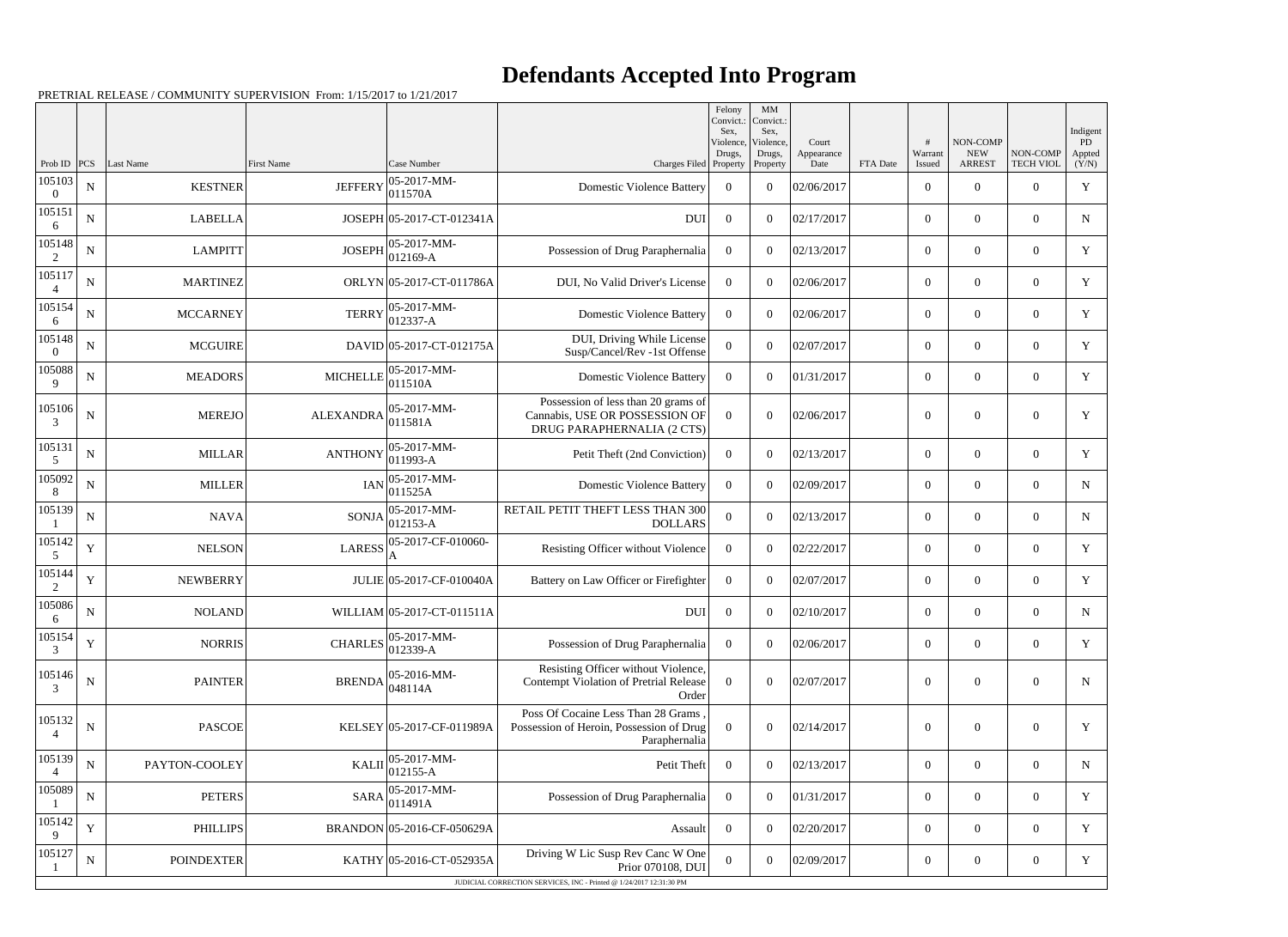## **Defendants Accepted Into Program**

|                          |             |                   |                   |                             |                                                                                                     | Felony<br>Convict.:<br>Sex. | MM<br>Convict.:<br>Sex,         |                             |          |                   | NON-COMP                    |                              | Indigent              |
|--------------------------|-------------|-------------------|-------------------|-----------------------------|-----------------------------------------------------------------------------------------------------|-----------------------------|---------------------------------|-----------------------------|----------|-------------------|-----------------------------|------------------------------|-----------------------|
| Prob ID                  | PCS         | Last Name         | <b>First Name</b> | Case Number                 | Charges Filed Property                                                                              | Violence,<br>Drugs,         | Violence,<br>Drugs,<br>Property | Court<br>Appearance<br>Date | FTA Date | Warrant<br>Issued | <b>NEW</b><br><b>ARREST</b> | NON-COMP<br><b>TECH VIOL</b> | PD<br>Appted<br>(Y/N) |
| 105103<br>$\Omega$       | ${\bf N}$   | <b>KESTNER</b>    | <b>JEFFERY</b>    | 05-2017-MM-<br>011570A      | <b>Domestic Violence Battery</b>                                                                    | $\overline{0}$              | $\theta$                        | 02/06/2017                  |          | $\theta$          | $\theta$                    | $\overline{0}$               | $\mathbf Y$           |
| 105151<br>6              | $\mathbf N$ | <b>LABELLA</b>    |                   | JOSEPH 05-2017-CT-012341A   | <b>DUI</b>                                                                                          | $\overline{0}$              | $\theta$                        | 02/17/2017                  |          | $\overline{0}$    | $\overline{0}$              | $\overline{0}$               | N                     |
| 105148<br>2              | ${\bf N}$   | <b>LAMPITT</b>    | <b>JOSEPH</b>     | 05-2017-MM-<br>012169-A     | Possession of Drug Paraphernalia                                                                    | $\overline{0}$              | $\theta$                        | 02/13/2017                  |          | $\theta$          | $\theta$                    | $\overline{0}$               | Y                     |
| 105117                   | $\mathbf N$ | <b>MARTINEZ</b>   |                   | ORLYN 05-2017-CT-011786A    | DUI, No Valid Driver's License                                                                      | $\Omega$                    | $\Omega$                        | 02/06/2017                  |          | $\theta$          | $\overline{0}$              | $\overline{0}$               | Y                     |
| 105154<br>6              | ${\bf N}$   | <b>MCCARNEY</b>   | <b>TERRY</b>      | 05-2017-MM-<br>$012337 - A$ | <b>Domestic Violence Battery</b>                                                                    | $\Omega$                    | $\theta$                        | 02/06/2017                  |          | $\theta$          | $\theta$                    | $\overline{0}$               | Y                     |
| 105148<br>$\Omega$       | $\mathbf N$ | <b>MCGUIRE</b>    |                   | DAVID 05-2017-CT-012175A    | DUI, Driving While License<br>Susp/Cancel/Rev -1st Offense                                          | $\theta$                    | $\theta$                        | 02/07/2017                  |          | $\overline{0}$    | $\overline{0}$              | $\overline{0}$               | Y                     |
| 105088<br>9              | ${\bf N}$   | <b>MEADORS</b>    | <b>MICHELLE</b>   | 05-2017-MM-<br>011510A      | <b>Domestic Violence Battery</b>                                                                    | $\overline{0}$              | $\theta$                        | 01/31/2017                  |          | $\theta$          | $\theta$                    | $\overline{0}$               | Y                     |
| 105106<br>3              | $\mathbf N$ | <b>MEREJO</b>     | <b>ALEXANDRA</b>  | 05-2017-MM-<br>011581A      | Possession of less than 20 grams of<br>Cannabis, USE OR POSSESSION OF<br>DRUG PARAPHERNALIA (2 CTS) | $\theta$                    | $\Omega$                        | 02/06/2017                  |          | $\theta$          | $\Omega$                    | $\overline{0}$               | $\mathbf Y$           |
| 105131<br>5              | ${\bf N}$   | <b>MILLAR</b>     | <b>ANTHONY</b>    | 05-2017-MM-<br>011993-A     | Petit Theft (2nd Conviction)                                                                        | $\overline{0}$              | $\theta$                        | 02/13/2017                  |          | $\theta$          | $\theta$                    | $\overline{0}$               | Y                     |
| 105092<br>8              | $\mathbf N$ | <b>MILLER</b>     | <b>IAN</b>        | $05-2017-MM$ -<br>011525A   | <b>Domestic Violence Battery</b>                                                                    | $\Omega$                    | $\theta$                        | 02/09/2017                  |          | $\overline{0}$    | $\overline{0}$              | $\overline{0}$               | $\mathbf N$           |
| 105139                   | ${\bf N}$   | <b>NAVA</b>       | <b>SONJA</b>      | 05-2017-MM-<br>$012153 - A$ | RETAIL PETIT THEFT LESS THAN 300<br><b>DOLLARS</b>                                                  | $\Omega$                    | $\theta$                        | 02/13/2017                  |          | $\theta$          | $\overline{0}$              | $\overline{0}$               | N                     |
| 105142<br>5              | $\mathbf Y$ | <b>NELSON</b>     | <b>LARESS</b>     | 05-2017-CF-010060-          | Resisting Officer without Violence                                                                  | $\overline{0}$              | $\theta$                        | 02/22/2017                  |          | $\theta$          | $\overline{0}$              | $\overline{0}$               | Y                     |
| 105144<br>2              | $\mathbf Y$ | <b>NEWBERRY</b>   |                   | JULIE 05-2017-CF-010040A    | Battery on Law Officer or Firefighter                                                               | $\overline{0}$              | $\theta$                        | 02/07/2017                  |          | $\overline{0}$    | $\theta$                    | $\overline{0}$               | Y                     |
| 105086<br>6              | ${\bf N}$   | <b>NOLAND</b>     |                   | WILLIAM 05-2017-CT-011511A  | <b>DUI</b>                                                                                          | $\overline{0}$              | $\overline{0}$                  | 02/10/2017                  |          | $\overline{0}$    | $\overline{0}$              | $\overline{0}$               | N                     |
| 105154<br>3              | Y           | <b>NORRIS</b>     | <b>CHARLES</b>    | 05-2017-MM-<br>012339-A     | Possession of Drug Paraphernalia                                                                    | $\overline{0}$              | $\overline{0}$                  | 02/06/2017                  |          | $\overline{0}$    | $\overline{0}$              | $\overline{0}$               | Y                     |
| 105146<br>3              | $\mathbf N$ | <b>PAINTER</b>    | <b>BRENDA</b>     | 05-2016-MM-<br>048114A      | Resisting Officer without Violence,<br>Contempt Violation of Pretrial Release<br>Order              | $\overline{0}$              | $\boldsymbol{0}$                | 02/07/2017                  |          | $\mathbf{0}$      | $\boldsymbol{0}$            | $\overline{0}$               | ${\bf N}$             |
| 105132<br>$\overline{4}$ | ${\bf N}$   | <b>PASCOE</b>     |                   | KELSEY 05-2017-CF-011989A   | Poss Of Cocaine Less Than 28 Grams<br>Possession of Heroin, Possession of Drug<br>Paraphernalia     | $\boldsymbol{0}$            | $\boldsymbol{0}$                | 02/14/2017                  |          | $\mathbf{0}$      | $\boldsymbol{0}$            | $\overline{0}$               | Y                     |
| 105139                   | ${\bf N}$   | PAYTON-COOLEY     | <b>KALII</b>      | 05-2017-MM-<br>012155-A     | Petit Theft                                                                                         | $\mathbf{0}$                | $\boldsymbol{0}$                | 02/13/2017                  |          | $\overline{0}$    | $\overline{0}$              | $\boldsymbol{0}$             | $\mathbf N$           |
| 105089                   | ${\bf N}$   | <b>PETERS</b>     | <b>SARA</b>       | 05-2017-MM-<br>011491A      | Possession of Drug Paraphernalia                                                                    | $\overline{0}$              | $\theta$                        | 01/31/2017                  |          | $\overline{0}$    | $\overline{0}$              | $\overline{0}$               | Y                     |
| 105142<br>9              | $\mathbf Y$ | <b>PHILLIPS</b>   |                   | BRANDON 05-2016-CF-050629A  | Assault                                                                                             | $\overline{0}$              | $\boldsymbol{0}$                | 02/20/2017                  |          | $\overline{0}$    | $\boldsymbol{0}$            | $\overline{0}$               | Y                     |
| 105127                   | ${\bf N}$   | <b>POINDEXTER</b> |                   | KATHY 05-2016-CT-052935A    | Driving W Lic Susp Rev Canc W One<br>Prior 070108, DUI                                              | $\mathbf{0}$                | $\overline{0}$                  | 02/09/2017                  |          | $\boldsymbol{0}$  | $\boldsymbol{0}$            | $\overline{0}$               | Y                     |
|                          |             |                   |                   |                             | JUDICIAL CORRECTION SERVICES, INC - Printed @ 1/24/2017 12:31:30 PM                                 |                             |                                 |                             |          |                   |                             |                              |                       |